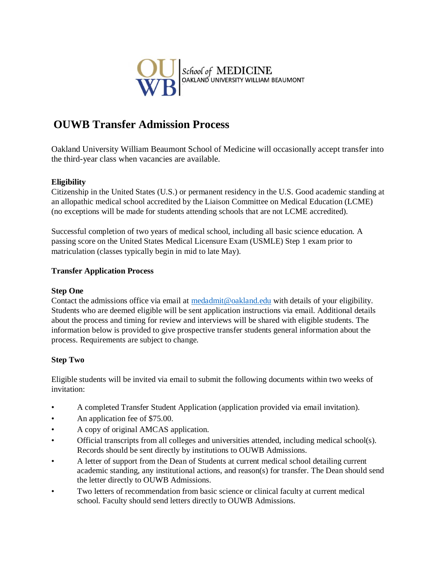

# **OUWB Transfer Admission Process**

Oakland University William Beaumont School of Medicine will occasionally accept transfer into the third-year class when vacancies are available.

# **Eligibility**

Citizenship in the United States (U.S.) or permanent residency in the U.S. Good academic standing at an allopathic medical school accredited by the Liaison Committee on Medical Education (LCME) (no exceptions will be made for students attending schools that are not LCME accredited).

Successful completion of two years of medical school, including all basic science education. A passing score on the United States Medical Licensure Exam (USMLE) Step 1 exam prior to matriculation (classes typically begin in mid to late May).

# **Transfer Application Process**

## **Step One**

Contact the admissions office via email at [medadmit@oakland.edu](mailto:medadmit@oakland.edu) with details of your eligibility. Students who are deemed eligible will be sent application instructions via email. Additional details about the process and timing for review and interviews will be shared with eligible students. The information below is provided to give prospective transfer students general information about the process. Requirements are subject to change.

## **Step Two**

Eligible students will be invited via email to submit the following documents within two weeks of invitation:

- A completed Transfer Student Application (application provided via email invitation).
- An application fee of \$75.00.
- A copy of original AMCAS application.
- Official transcripts from all colleges and universities attended, including medical school(s). Records should be sent directly by institutions to OUWB Admissions.
- A letter of support from the Dean of Students at current medical school detailing current academic standing, any institutional actions, and reason(s) for transfer. The Dean should send the letter directly to OUWB Admissions.
- Two letters of recommendation from basic science or clinical faculty at current medical school. Faculty should send letters directly to OUWB Admissions.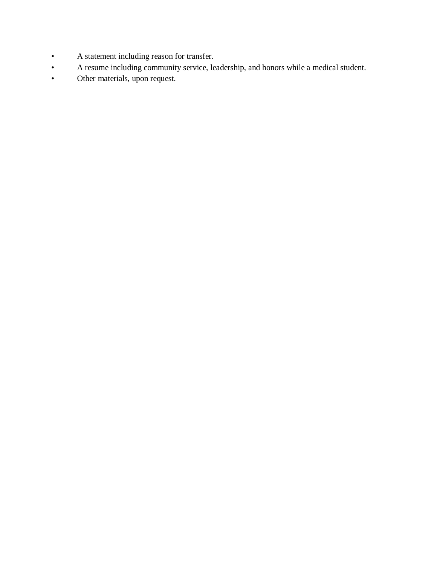- A statement including reason for transfer.
- A resume including community service, leadership, and honors while a medical student.
- Other materials, upon request.